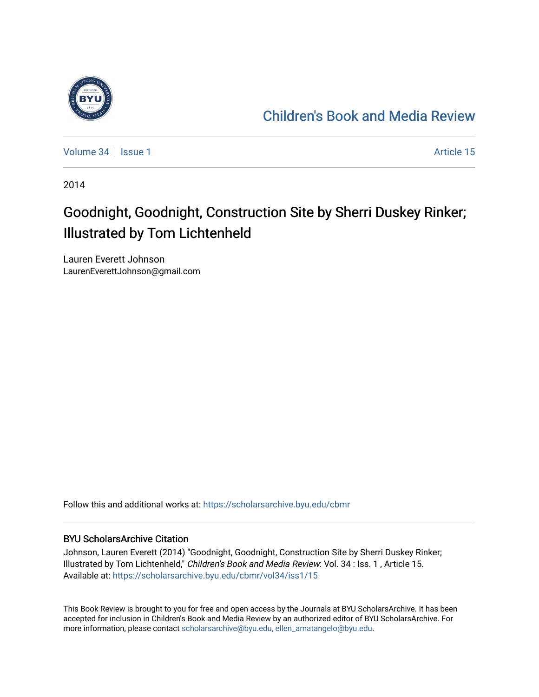

## [Children's Book and Media Review](https://scholarsarchive.byu.edu/cbmr)

[Volume 34](https://scholarsarchive.byu.edu/cbmr/vol34) | [Issue 1](https://scholarsarchive.byu.edu/cbmr/vol34/iss1) Article 15

2014

## Goodnight, Goodnight, Construction Site by Sherri Duskey Rinker; Illustrated by Tom Lichtenheld

Lauren Everett Johnson LaurenEverettJohnson@gmail.com

Follow this and additional works at: [https://scholarsarchive.byu.edu/cbmr](https://scholarsarchive.byu.edu/cbmr?utm_source=scholarsarchive.byu.edu%2Fcbmr%2Fvol34%2Fiss1%2F15&utm_medium=PDF&utm_campaign=PDFCoverPages) 

## BYU ScholarsArchive Citation

Johnson, Lauren Everett (2014) "Goodnight, Goodnight, Construction Site by Sherri Duskey Rinker; Illustrated by Tom Lichtenheld," Children's Book and Media Review: Vol. 34 : Iss. 1 , Article 15. Available at: [https://scholarsarchive.byu.edu/cbmr/vol34/iss1/15](https://scholarsarchive.byu.edu/cbmr/vol34/iss1/15?utm_source=scholarsarchive.byu.edu%2Fcbmr%2Fvol34%2Fiss1%2F15&utm_medium=PDF&utm_campaign=PDFCoverPages)

This Book Review is brought to you for free and open access by the Journals at BYU ScholarsArchive. It has been accepted for inclusion in Children's Book and Media Review by an authorized editor of BYU ScholarsArchive. For more information, please contact [scholarsarchive@byu.edu, ellen\\_amatangelo@byu.edu.](mailto:scholarsarchive@byu.edu,%20ellen_amatangelo@byu.edu)